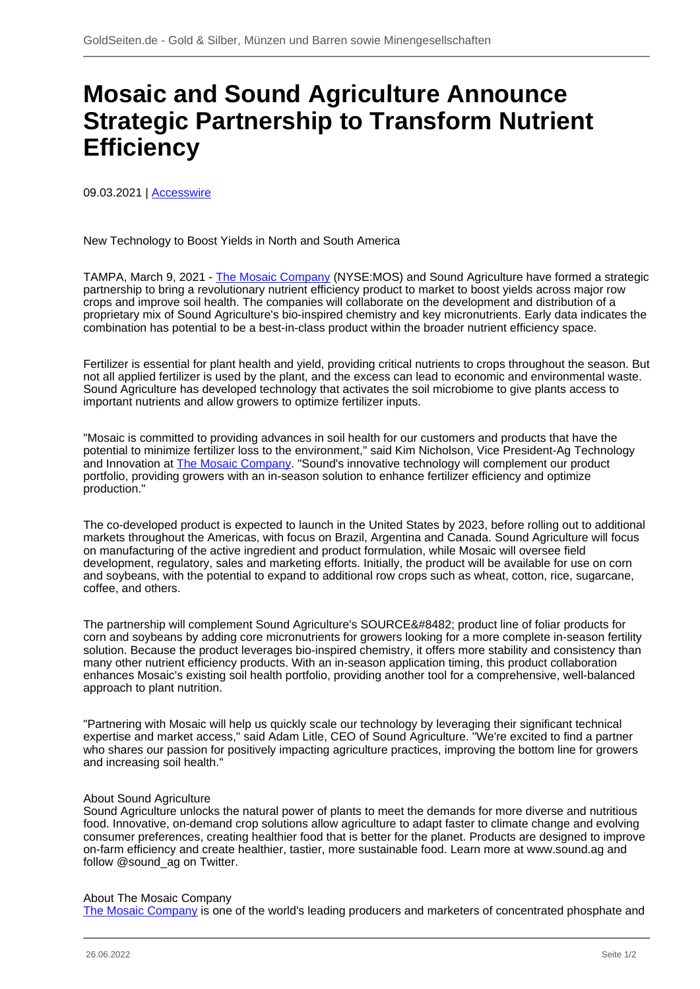## **Mosaic and Sound Agriculture Announce Strategic Partnership to Transform Nutrient Efficiency**

09.03.2021 | [Accesswire](/profil/272--Accesswire)

New Technology to Boost Yields in North and South America

TAMPA, March 9, 2021 - [The Mosaic Company](/minen/1202--The-Mosaic-Company) (NYSE:MOS) and Sound Agriculture have formed a strategic partnership to bring a revolutionary nutrient efficiency product to market to boost yields across major row crops and improve soil health. The companies will collaborate on the development and distribution of a proprietary mix of Sound Agriculture's bio-inspired chemistry and key micronutrients. Early data indicates the combination has potential to be a best-in-class product within the broader nutrient efficiency space.

Fertilizer is essential for plant health and yield, providing critical nutrients to crops throughout the season. But not all applied fertilizer is used by the plant, and the excess can lead to economic and environmental waste. Sound Agriculture has developed technology that activates the soil microbiome to give plants access to important nutrients and allow growers to optimize fertilizer inputs.

"Mosaic is committed to providing advances in soil health for our customers and products that have the potential to minimize fertilizer loss to the environment," said Kim Nicholson, Vice President-Ag Technology and Innovation at **The Mosaic Company**. "Sound's innovative technology will complement our product portfolio, providing growers with an in-season solution to enhance fertilizer efficiency and optimize production."

The co-developed product is expected to launch in the United States by 2023, before rolling out to additional markets throughout the Americas, with focus on Brazil, Argentina and Canada. Sound Agriculture will focus on manufacturing of the active ingredient and product formulation, while Mosaic will oversee field development, regulatory, sales and marketing efforts. Initially, the product will be available for use on corn and soybeans, with the potential to expand to additional row crops such as wheat, cotton, rice, sugarcane, coffee, and others.

The partnership will complement Sound Agriculture's SOURCE™ product line of foliar products for corn and soybeans by adding core micronutrients for growers looking for a more complete in-season fertility solution. Because the product leverages bio-inspired chemistry, it offers more stability and consistency than many other nutrient efficiency products. With an in-season application timing, this product collaboration enhances Mosaic's existing soil health portfolio, providing another tool for a comprehensive, well-balanced approach to plant nutrition.

"Partnering with Mosaic will help us quickly scale our technology by leveraging their significant technical expertise and market access," said Adam Litle, CEO of Sound Agriculture. "We're excited to find a partner who shares our passion for positively impacting agriculture practices, improving the bottom line for growers and increasing soil health."

## About Sound Agriculture

Sound Agriculture unlocks the natural power of plants to meet the demands for more diverse and nutritious food. Innovative, on-demand crop solutions allow agriculture to adapt faster to climate change and evolving consumer preferences, creating healthier food that is better for the planet. Products are designed to improve on-farm efficiency and create healthier, tastier, more sustainable food. Learn more at www.sound.ag and follow @sound\_ag on Twitter.

## About The Mosaic Company

[The Mosaic Company](/minen/1202--The-Mosaic-Company) is one of the world's leading producers and marketers of concentrated phosphate and